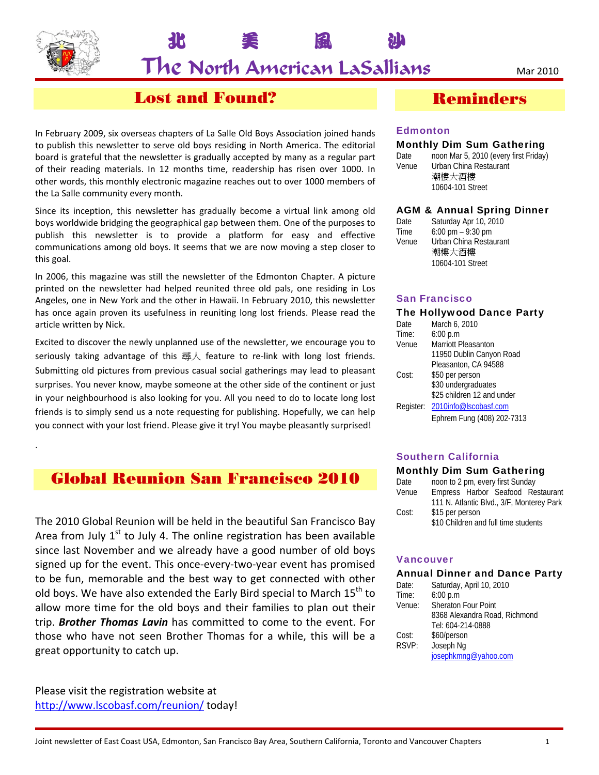

.

# 北 美 風 沙 The North American LaSallians Mar 2010

# Lost and Found?

In February 2009, six overseas chapters of La Salle Old Boys Association joined hands to publish this newsletter to serve old boys residing in North America. The editorial board is grateful that the newsletter is gradually accepted by many as a regular part of their reading materials. In 12 months time, readership has risen over 1000. In other words, this monthly electronic magazine reaches out to over 1000 members of the La Salle community every month.

Since its inception, this newsletter has gradually become a virtual link among old boys worldwide bridging the geographical gap between them. One of the purposes to publish this newsletter is to provide a platform for easy and effective communications among old boys. It seems that we are now moving a step closer to this goal.

In 2006, this magazine was still the newsletter of the Edmonton Chapter. A picture printed on the newsletter had helped reunited three old pals, one residing in Los Angeles, one in New York and the other in Hawaii. In February 2010, this newsletter has once again proven its usefulness in reuniting long lost friends. Please read the article written by Nick.

Excited to discover the newly unplanned use of the newsletter, we encourage you to seriously taking advantage of this 尋人 feature to re-link with long lost friends. Submitting old pictures from previous casual social gatherings may lead to pleasant surprises. You never know, maybe someone at the other side of the continent or just in your neighbourhood is also looking for you. All you need to do to locate long lost friends is to simply send us a note requesting for publishing. Hopefully, we can help you connect with your lost friend. Please give it try! You maybe pleasantly surprised!

### Global Reunion San Francisco 2010

The 2010 Global Reunion will be held in the beautiful San Francisco Bay Area from July  $1<sup>st</sup>$  to July 4. The online registration has been available since last November and we already have a good number of old boys signed up for the event. This once-every-two-year event has promised to be fun, memorable and the best way to get connected with other old boys. We have also extended the Early Bird special to March  $15<sup>th</sup>$  to allow more time for the old boys and their families to plan out their trip. *Brother Thomas Lavin* has committed to come to the event. For those who have not seen Brother Thomas for a while, this will be a great opportunity to catch up.

Please visit the registration website at http://www.lscobasf.com/reunion/ today!

### Reminders

### **Edmonton**

### Monthly Dim Sum Gathering

Date noon Mar 5, 2010 (every first Friday) Venue Urban China Restaurant 潮樓大酒樓 10604-101 Street

### AGM & Annual Spring Dinner

Date Saturday Apr 10, 2010 Time 6:00 pm – 9:30 pm Venue Urban China Restaurant 潮樓大酒樓 10604-101 Street

### San Francisco

### The Hollywood Dance Party

| Date      | March 6, 2010              |
|-----------|----------------------------|
| Time:     | 6:00 p.m                   |
| Venue     | Marriott Pleasanton        |
|           | 11950 Dublin Canyon Road   |
|           | Pleasanton, CA 94588       |
| Cost:     | \$50 per person            |
|           | \$30 undergraduates        |
|           | \$25 children 12 and under |
| Register: | 2010info@lscobasf.com      |
|           | Ephrem Fung (408) 202-7313 |

### Southern California

### Monthly Dim Sum Gathering

| Date  | noon to 2 pm, every first Sunday          |  |  |  |
|-------|-------------------------------------------|--|--|--|
| Venue | Empress Harbor Seafood Restaurant         |  |  |  |
|       | 111 N. Atlantic Blvd., 3/F, Monterey Park |  |  |  |
| Cost: | \$15 per person                           |  |  |  |
|       | \$10 Children and full time students      |  |  |  |

### Vancouver

### Annual Dinner and Dance Party

| Date:  | Saturday, April 10, 2010      |  |
|--------|-------------------------------|--|
| Time:  | 6:00 p.m                      |  |
| Venue: | <b>Sheraton Four Point</b>    |  |
|        | 8368 Alexandra Road, Richmond |  |
|        | Tel: 604-214-0888             |  |
| Cost:  | \$60/person                   |  |
| RSVP:  | Joseph Ng                     |  |
|        | josephkmng@yahoo.com          |  |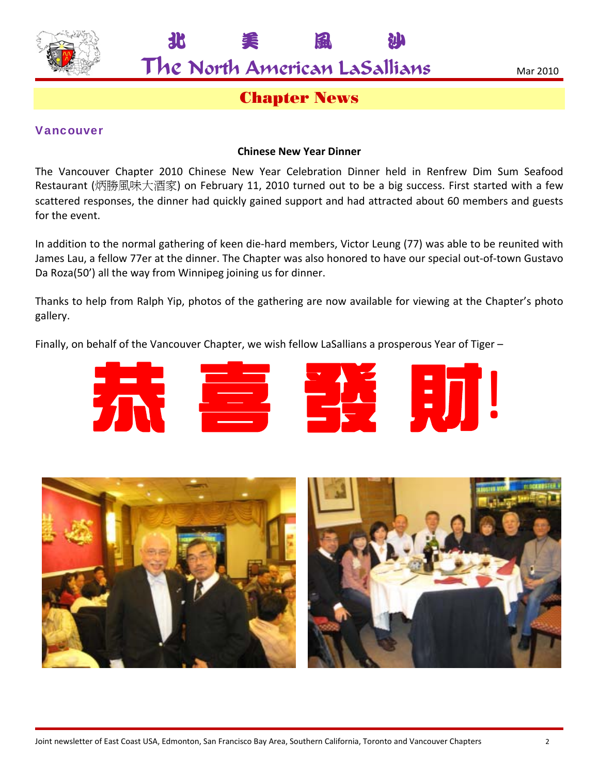

北

The North American LaSallians

Mar 2010

# **Chapter News**

### **Vancouver**

### **Chinese New Year Dinner**

The Vancouver Chapter 2010 Chinese New Year Celebration Dinner held in Renfrew Dim Sum Seafood Restaurant (炳勝風味大酒家) on February 11, 2010 turned out to be a big success. First started with a few scattered responses, the dinner had quickly gained support and had attracted about 60 members and guests for the event.

In addition to the normal gathering of keen die-hard members, Victor Leung (77) was able to be reunited with James Lau, a fellow 77er at the dinner. The Chapter was also honored to have our special out-of-town Gustavo Da Roza(50') all the way from Winnipeg joining us for dinner.

Thanks to help from Ralph Yip, photos of the gathering are now available for viewing at the Chapter's photo gallery.

Finally, on behalf of the Vancouver Chapter, we wish fellow LaSallians a prosperous Year of Tiger -



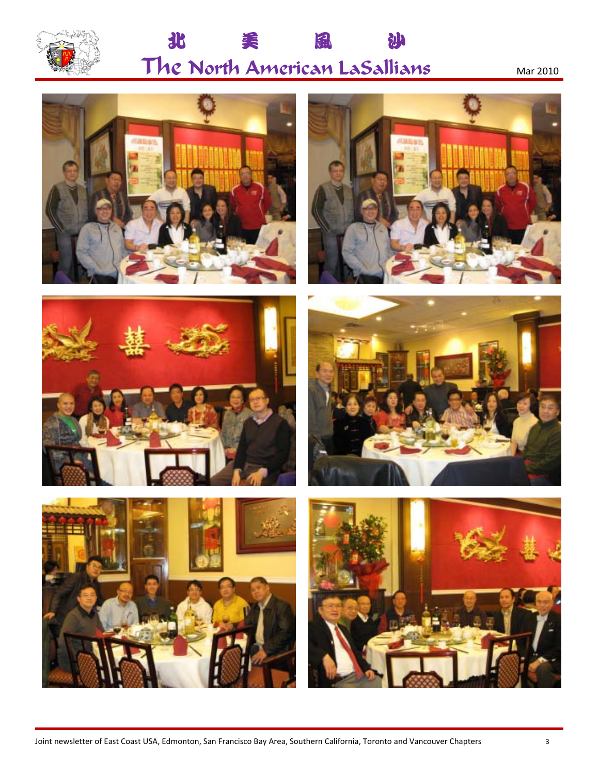

#### 北 品 沙 準 The North American LaSallians











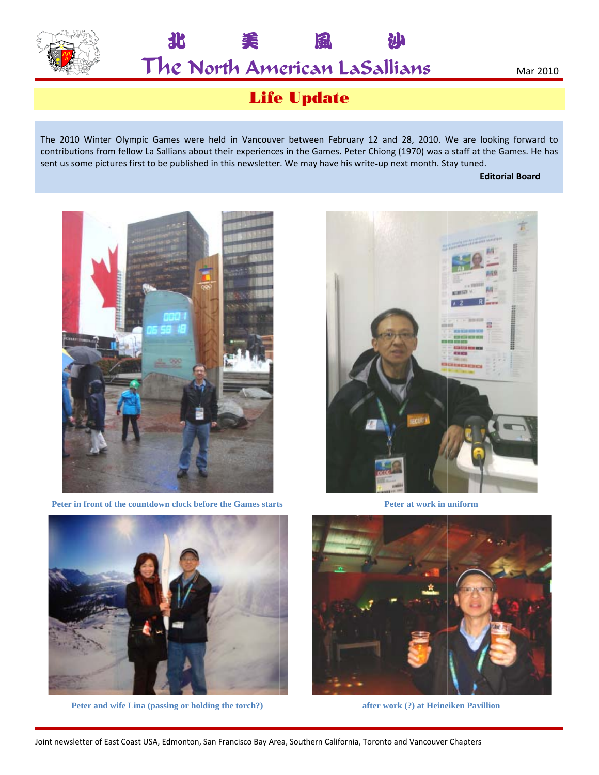

The North American LaSallians

美

Mar 2010

# **Life Update**

ࢲ

Ւ

The 2010 Winter Olympic Games were held in Vancouver between February 12 and 28, 2010. We are looking forward to contributions from fellow La Sallians about their experiences in the Games. Peter Chiong (1970) was a staff at the Games. He has sent us some pictures first to be published in this newsletter. We may have his write-up next month. Stay tuned.

**Editor rial Board**



 $\overline{\mathbf{a}}$ 

Peter in front of the countdown clock before the Games starts



**Pe eter at work in uniform**



Peter and wife Lina (passing or holding the torch?)



after work (?) at Heineiken Pavillion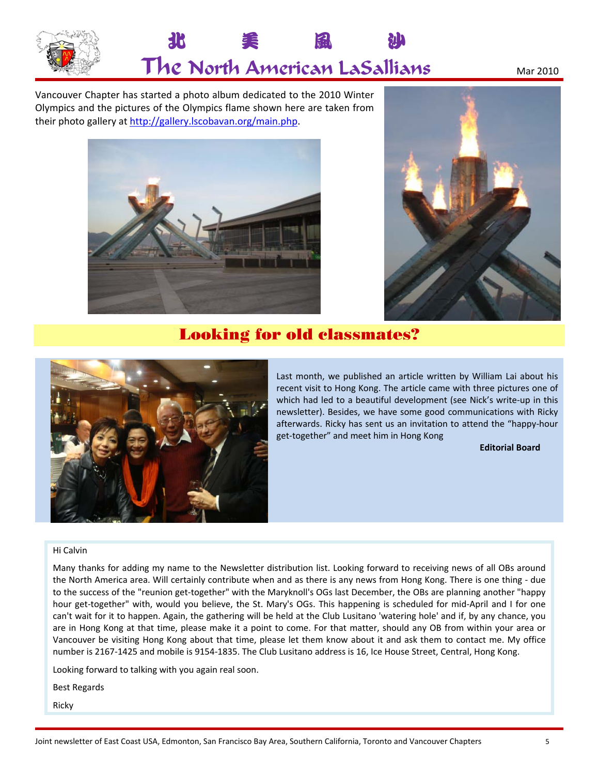

# 北 美 風 沙 The North American LaSallians Mar 2010

Vancouver Chapter has started a photo album dedicated to the 2010 Winter Olympics and the pictures of the Olympics flame shown here are taken from their photo gallery at http://gallery.lscobavan.org/main.php.





## Looking for old classmates?



Last month, we published an article written by William Lai about his recent visit to Hong Kong. The article came with three pictures one of which had led to a beautiful development (see Nick's write‐up in this newsletter). Besides, we have some good communications with Ricky afterwards. Ricky has sent us an invitation to attend the "happy‐hour get‐together" and meet him in Hong Kong

**Editorial Board**

### Hi Calvin

Many thanks for adding my name to the Newsletter distribution list. Looking forward to receiving news of all OBs around the North America area. Will certainly contribute when and as there is any news from Hong Kong. There is one thing ‐ due to the success of the "reunion get‐together" with the Maryknoll's OGs last December, the OBs are planning another "happy hour get-together" with, would you believe, the St. Mary's OGs. This happening is scheduled for mid-April and I for one can't wait for it to happen. Again, the gathering will be held at the Club Lusitano 'watering hole' and if, by any chance, you are in Hong Kong at that time, please make it a point to come. For that matter, should any OB from within your area or Vancouver be visiting Hong Kong about that time, please let them know about it and ask them to contact me. My office number is 2167‐1425 and mobile is 9154‐1835. The Club Lusitano address is 16, Ice House Street, Central, Hong Kong.

Looking forward to talking with you again real soon.

Best Regards

Ricky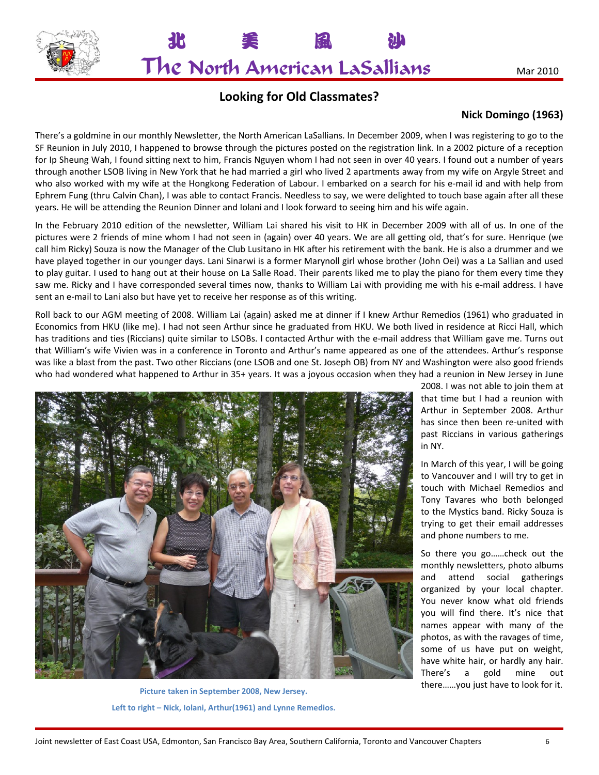

# **Looking for Old Classmates?**

### **Nick Domingo (1963)**

There's a goldmine in our monthly Newsletter, the North American LaSallians. In December 2009, when I was registering to go to the SF Reunion in July 2010, I happened to browse through the pictures posted on the registration link. In a 2002 picture of a reception for Ip Sheung Wah, I found sitting next to him, Francis Nguyen whom I had not seen in over 40 years. I found out a number of years through another LSOB living in New York that he had married a girl who lived 2 apartments away from my wife on Argyle Street and who also worked with my wife at the Hongkong Federation of Labour. I embarked on a search for his e-mail id and with help from Ephrem Fung (thru Calvin Chan), I was able to contact Francis. Needless to say, we were delighted to touch base again after all these years. He will be attending the Reunion Dinner and Iolani and I look forward to seeing him and his wife again.

In the February 2010 edition of the newsletter, William Lai shared his visit to HK in December 2009 with all of us. In one of the pictures were 2 friends of mine whom I had not seen in (again) over 40 years. We are all getting old, that's for sure. Henrique (we call him Ricky) Souza is now the Manager of the Club Lusitano in HK after his retirement with the bank. He is also a drummer and we have played together in our younger days. Lani Sinarwi is a former Marynoll girl whose brother (John Oei) was a La Sallian and used to play guitar. I used to hang out at their house on La Salle Road. Their parents liked me to play the piano for them every time they saw me. Ricky and I have corresponded several times now, thanks to William Lai with providing me with his e-mail address. I have sent an e-mail to Lani also but have yet to receive her response as of this writing.

Roll back to our AGM meeting of 2008. William Lai (again) asked me at dinner if I knew Arthur Remedios (1961) who graduated in Economics from HKU (like me). I had not seen Arthur since he graduated from HKU. We both lived in residence at Ricci Hall, which has traditions and ties (Riccians) quite similar to LSOBs. I contacted Arthur with the e-mail address that William gave me. Turns out that William's wife Vivien was in a conference in Toronto and Arthur's name appeared as one of the attendees. Arthur's response was like a blast from the past. Two other Riccians (one LSOB and one St. Joseph OB) from NY and Washington were also good friends who had wondered what happened to Arthur in 35+ years. It was a joyous occasion when they had a reunion in New Jersey in June



2008. I was not able to join them at that time but I had a reunion with Arthur in September 2008. Arthur has since then been re‐united with past Riccians in various gatherings in NY.

In March of this year, I will be going to Vancouver and I will try to get in touch with Michael Remedios and Tony Tavares who both belonged to the Mystics band. Ricky Souza is trying to get their email addresses and phone numbers to me.

So there you go……check out the monthly newsletters, photo albums and attend social gatherings organized by your local chapter. You never know what old friends you will find there. It's nice that names appear with many of the photos, as with the ravages of time, some of us have put on weight, have white hair, or hardly any hair. There's a gold mine out

**Left to right – Nick, Iolani, Arthur(1961) and Lynne Remedios.**